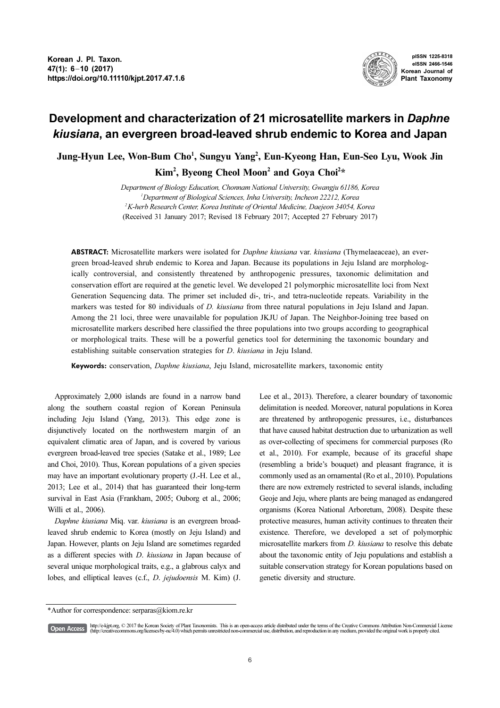

pISSN 1225-8318 eISSN 2466-1546 Korean Journal of Plant Taxonomy

## Development and characterization of 21 microsatellite markers in Daphne kiusiana, an evergreen broad-leaved shrub endemic to Korea and Japan

Jung-Hyun Lee, Won-Bum Cho<sup>1</sup>, Sungyu Yang<sup>2</sup>, Eun-Kyeong Han, Eun-Seo Lyu, Wook Jin Kim<sup>2</sup>, Byeong Cheol Moon<sup>2</sup> and Goya Choi<sup>2\*</sup>

> Department of Biology Education, Chonnam National University, Gwangju 61186, Korea 1 Department of Biological Sciences, Inha University, Incheon 22212, Korea  $^2$ K-herb Research Center, Korea Institute of Oriental Medicine, Daejeon 34054, Korea (Received 31 January 2017; Revised 18 February 2017; Accepted 27 February 2017)

ABSTRACT: Microsatellite markers were isolated for *Daphne kiusiana* var. kiusiana (Thymelaeaceae), an evergreen broad-leaved shrub endemic to Korea and Japan. Because its populations in Jeju Island are morphologically controversial, and consistently threatened by anthropogenic pressures, taxonomic delimitation and conservation effort are required at the genetic level. We developed 21 polymorphic microsatellite loci from Next Generation Sequencing data. The primer set included di-, tri-, and tetra-nucleotide repeats. Variability in the markers was tested for 80 individuals of D. kiusiana from three natural populations in Jeju Island and Japan. Among the 21 loci, three were unavailable for population JKJU of Japan. The Neighbor-Joining tree based on microsatellite markers described here classified the three populations into two groups according to geographical or morphological traits. These will be a powerful genetics tool for determining the taxonomic boundary and establishing suitable conservation strategies for D. kiusiana in Jeju Island.

Keywords: conservation, *Daphne kiusiana*, Jeju Island, microsatellite markers, taxonomic entity

Approximately 2,000 islands are found in a narrow band along the southern coastal region of Korean Peninsula including Jeju Island (Yang, 2013). This edge zone is disjunctively located on the northwestern margin of an equivalent climatic area of Japan, and is covered by various evergreen broad-leaved tree species (Satake et al., 1989; Lee and Choi, 2010). Thus, Korean populations of a given species may have an important evolutionary property (J.-H. Lee et al., 2013; Lee et al., 2014) that has guaranteed their long-term survival in East Asia (Frankham, 2005; Ouborg et al., 2006; Willi et al., 2006).

Daphne kiusiana Miq. var. kiusiana is an evergreen broadleaved shrub endemic to Korea (mostly on Jeju Island) and Japan. However, plants on Jeju Island are sometimes regarded as a different species with D. kiusiana in Japan because of several unique morphological traits, e.g., a glabrous calyx and lobes, and elliptical leaves (c.f., D. jejudoensis M. Kim) (J. Lee et al., 2013). Therefore, a clearer boundary of taxonomic delimitation is needed. Moreover, natural populations in Korea are threatened by anthropogenic pressures, i.e., disturbances that have caused habitat destruction due to urbanization as well as over-collecting of specimens for commercial purposes (Ro et al., 2010). For example, because of its graceful shape (resembling a bride's bouquet) and pleasant fragrance, it is commonly used as an ornamental (Ro et al., 2010). Populations there are now extremely restricted to several islands, including Geoje and Jeju, where plants are being managed as endangered organisms (Korea National Arboretum, 2008). Despite these protective measures, human activity continues to threaten their existence. Therefore, we developed a set of polymorphic microsatellite markers from D. kiusiana to resolve this debate about the taxonomic entity of Jeju populations and establish a suitable conservation strategy for Korean populations based on genetic diversity and structure.

[Open Access]

http://e-kjpt.org, © 2017 the Korean Society of Plant Taxonomists. This is an open-access article distributed under the terms of the Creative Commons Attribution Non-Commercial License (http://creativecommons.org/licenses/by-nc/4.0) which permits unrestricted non-commercial use, distribution, and reproduction in any medium, provided the original work is properly cited.

<sup>\*</sup>Author for correspondence: serparas@kiom.re.kr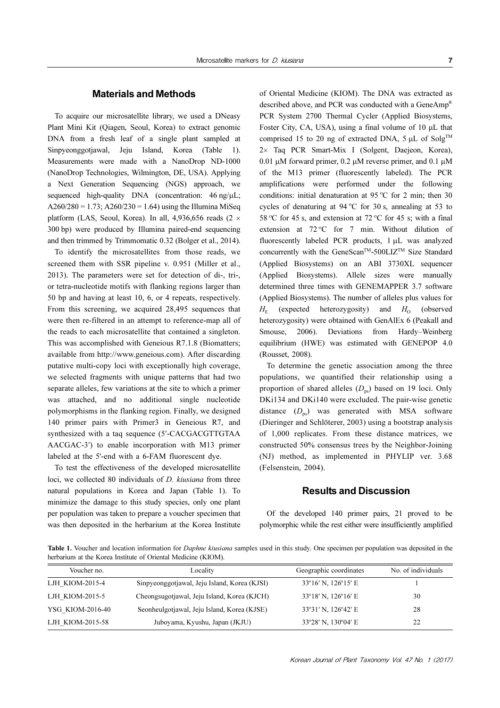To acquire our microsatellite library, we used a DNeasy Plant Mini Kit (Qiagen, Seoul, Korea) to extract genomic DNA from a fresh leaf of a single plant sampled at Sinpyeonggotjawal, Jeju Island, Korea (Table 1). Measurements were made with a NanoDrop ND-1000 (NanoDrop Technologies, Wilmington, DE, USA). Applying a Next Generation Sequencing (NGS) approach, we sequenced high-quality DNA (concentration:  $46 \text{ ng/µL}$ ;  $A260/280 = 1.73$ ;  $A260/230 = 1.64$ ) using the Illumina MiSeq platform (LAS, Seoul, Korea). In all, 4,936,656 reads (2  $\times$ 300 bp) were produced by Illumina paired-end sequencing and then trimmed by Trimmomatic 0.32 (Bolger et al., 2014).

To identify the microsatellites from those reads, we screened them with SSR pipeline v. 0.951 (Miller et al., 2013). The parameters were set for detection of di-, tri-, or tetra-nucleotide motifs with flanking regions larger than 50 bp and having at least 10, 6, or 4 repeats, respectively. From this screening, we acquired 28,495 sequences that were then re-filtered in an attempt to reference-map all of the reads to each microsatellite that contained a singleton. This was accomplished with Geneious R7.1.8 (Biomatters; available from http://www.geneious.com). After discarding putative multi-copy loci with exceptionally high coverage, we selected fragments with unique patterns that had two separate alleles, few variations at the site to which a primer was attached, and no additional single nucleotide polymorphisms in the flanking region. Finally, we designed 140 primer pairs with Primer3 in Geneious R7, and synthesized with a taq sequence (5′-CACGACGTTGTAA AACGAC-3′) to enable incorporation with M13 primer labeled at the 5'-end with a 6-FAM fluorescent dye.

To test the effectiveness of the developed microsatellite loci, we collected 80 individuals of *D. kiusiana* from three natural populations in Korea and Japan (Table 1). To minimize the damage to this study species, only one plant per population was taken to prepare a voucher specimen that was then deposited in the herbarium at the Korea Institute of Oriental Medicine (KIOM). The DNA was extracted as described above, and PCR was conducted with a GeneAmp® PCR System 2700 Thermal Cycler (Applied Biosystems, Foster City, CA, USA), using a final volume of 10 μL that comprised 15 to 20 ng of extracted DNA,  $5 \mu L$  of Solg<sup>TM</sup> 2× Taq PCR Smart-Mix I (Solgent, Daejeon, Korea), 0.01 µM forward primer, 0.2 µM reverse primer, and 0.1 µM of the M13 primer (fluorescently labeled). The PCR amplifications were performed under the following conditions: initial denaturation at 95  $\degree$ C for 2 min; then 30 cycles of denaturing at  $94^{\circ}$ C for 30 s, annealing at 53 to 58 °C for 45 s, and extension at 72 °C for 45 s; with a final extension at  $72 \degree C$  for 7 min. Without dilution of fluorescently labeled PCR products, 1 µL was analyzed concurrently with the GeneScan™-500LIZ<sup>™</sup> Size Standard (Applied Biosystems) on an ABI 3730XL sequencer (Applied Biosystems). Allele sizes were manually determined three times with GENEMAPPER 3.7 software (Applied Biosystems). The number of alleles plus values for  $H_{\circ}$ (expected heterozygosity) and  $H_0$  (observed heterozygosity) were obtained with GenAlEx 6 (Peakall and Smouse, 2006). Deviations from Hardy–Weinberg equilibrium (HWE) was estimated with GENEPOP 4.0 (Rousset, 2008).

To determine the genetic association among the three populations, we quantified their relationship using a proportion of shared alleles  $(D_{ns})$  based on 19 loci. Only DKi134 and DKi140 were excluded. The pair-wise genetic distance  $(D_{ns})$  was generated with MSA software (Dieringer and Schlöterer, 2003) using a bootstrap analysis of 1,000 replicates. From these distance matrices, we constructed 50% consensus trees by the Neighbor-Joining (NJ) method, as implemented in PHYLIP ver. 3.68 (Felsenstein, 2004).

## Results and Discussion

Of the developed 140 primer pairs, 21 proved to be polymorphic while the rest either were insufficiently amplified

Table 1. Voucher and location information for *Daphne kiusiana* samples used in this study. One specimen per population was deposited in the herbarium at the Korea Institute of Oriental Medicine (KIOM).

| Voucher no.      | Locality                                     | Geographic coordinates                | No. of individuals |
|------------------|----------------------------------------------|---------------------------------------|--------------------|
| LJH KIOM-2015-4  | Sinpyeonggotjawal, Jeju Island, Korea (KJSI) | $33^{\circ}16'$ N, $126^{\circ}15'$ E |                    |
| LJH KIOM-2015-5  | Cheongsugotjawal, Jeju Island, Korea (KJCH)  | $33^{\circ}18'$ N, $126^{\circ}16'$ E | 30                 |
| YSG KIOM-2016-40 | Seonheulgotjawal, Jeju Island, Korea (KJSE)  | 33°31′ N, 126°42′ E                   | 28                 |
| LJH KIOM-2015-58 | Juboyama, Kyushu, Japan (JKJU)               | $33^{\circ}28'$ N, $130^{\circ}04'$ E | 22                 |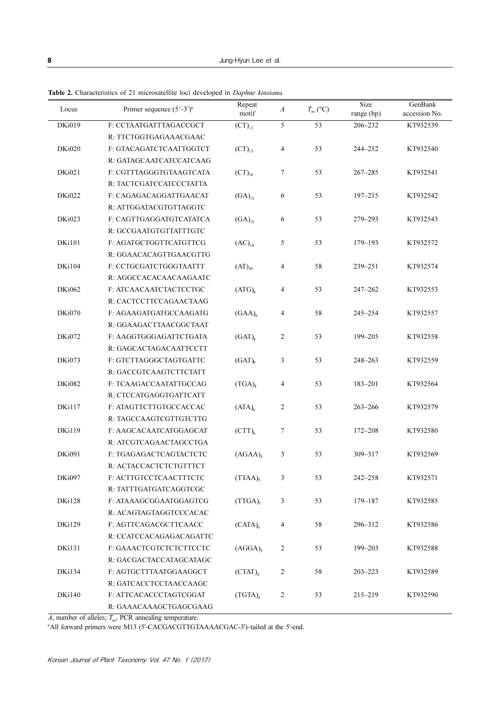| Locus         | Primer sequence $(5'-3')^a$ | Repeat<br>motif               | $\boldsymbol{A}$        | $T_{\rm m}$ (°C) | Size<br>range (bp) | GenBank<br>accession No. |
|---------------|-----------------------------|-------------------------------|-------------------------|------------------|--------------------|--------------------------|
| DKi019        | F: CCTAATGATTTAGACCGCT      | $(CT)_{12}$                   | 5                       | 53               | 206-232            | KT932539                 |
|               | R: TTCTGGTGAGAAACGAAC       |                               |                         |                  |                    |                          |
| <b>DKi020</b> | F: GTACAGATCTCAATTGGTCT     | $(CT)_{13}$                   | $\overline{\mathbf{4}}$ | 53               | 244-252            | KT932540                 |
|               | R: GATAGCAATCATCCATCAAG     |                               |                         |                  |                    |                          |
| DKi021        | F: CGTTTAGGGTGTAAGTCATA     | $\left(\text{CT}\right)_{16}$ | $\boldsymbol{7}$        | 53               | $267 - 285$        | KT932541                 |
|               | R: TACTCGATCCATCCCTATTA     |                               |                         |                  |                    |                          |
| DKi022        | F: CAGAGACAGGATTGAACAT      | $(GA)_{13}$                   | 6                       | 53               | $197 - 215$        | KT932542                 |
|               | R: ATTGGATACGTGTTAGGTC      |                               |                         |                  |                    |                          |
| DKi023        | F: CAGTTGAGGATGTCATATCA     | $(GA)_{13}$                   | 6                       | 53               | 279-293            | KT932543                 |
|               | R: GCCGAATGTGTTATTTGTC      |                               |                         |                  |                    |                          |
| <b>DKi101</b> | F: AGATGCTGGTTCATGTTCG      | $(AC)_{10}$                   | 5                       | 53               | 179-193            | KT932572                 |
|               | R: GGAACACAGTTGAACGTTG      |                               |                         |                  |                    |                          |
| <b>DKi104</b> | F: CCTGCGATCTGGGTAATTT      | $(AT)_{10}$                   | $\overline{4}$          | 58               | 239-251            | KT932574                 |
|               | R: AGGCCACACAACAAGAATC      |                               |                         |                  |                    |                          |
| DKi062        | F: ATCAACAATCTACTCCTGC      | $(ATG)_{8}$                   | $\overline{4}$          | 53               | $247 - 262$        | KT932553                 |
|               | R: CACTCCTTCCAGAACTAAG      |                               |                         |                  |                    |                          |
| DKi070        | F: AGAAGATGATGCCAAGATG      | $(GAA)$ <sub>9</sub>          | $\overline{4}$          | 58               | $245 - 254$        | KT932557                 |
|               | R: GGAAGACTTAACGGCTAAT      |                               |                         |                  |                    |                          |
| <b>DKi072</b> | F: AAGGTGGGAGATTCTGATA      | $(GAT)_{8}$                   | $\overline{c}$          | 53               | 199-205            | KT932558                 |
|               | R: GAGCACTAGACAATTCCTT      |                               |                         |                  |                    |                          |
| <b>DKi073</b> | F: GTCTTAGGGCTAGTGATTC      | $(GAT)$ <sub>0</sub>          | 3                       | 53               | 248-263            | KT932559                 |
|               | R: GACCGTCAAGTCTTCTATT      |                               |                         |                  |                    |                          |
| DKi082        | F: TCAAGACCAATATTGCCAG      | $(TGA)_{8}$                   | $\overline{4}$          | 53               | 183-201            | KT932564                 |
|               | R: CTCCATGAGGTGATTCATT      |                               |                         |                  |                    |                          |
| DKi117        | F: ATAGTTCTTGTGCCACCAC      | $(ATA)_{6}$                   | $\overline{c}$          | 53               | $263 - 266$        | KT932579                 |
|               | R: TAGCCAAGTCGTTGTCTTG      |                               |                         |                  |                    |                          |
| <b>DKi119</b> | F: AAGCACAATCATGGAGCAT      | $(CTT)_{6}$                   | 7                       | 53               | 172-208            | KT932580                 |
|               | R: ATCGTCAGAACTAGCCTGA      |                               |                         |                  |                    |                          |
| DKi091        | F: TGAGAGACTCAGTACTCTC      | $(AGAA)$ <sub>5</sub>         | 3                       | 53               | 309-317            | KT932569                 |
|               | R: ACTACCACTCTCTGTTTCT      |                               |                         |                  |                    |                          |
| DKi097        | F: ACTTGTCCTCAACTTTCTC      | $(TTAA)$ <sub>5</sub>         | 3                       | 53               | 242-258            | KT932571                 |
|               | R: TATTTGATGATCAGGTCGC      |                               |                         |                  |                    |                          |
| DKi128        | F: ATAAAGCGGAATGGAGTCG      | $(TTGA)$ <sub>7</sub>         | $\mathfrak z$           | 53               | 179-187            | KT932585                 |
|               | R: ACAGTAGTAGGTCCCACAC      |                               |                         |                  |                    |                          |
| <b>DKi129</b> | F: AGTTCAGACGCTTCAACC       | $(CATA)_{6}$                  | 4                       | 58               | 296-312            | KT932586                 |
|               | R: CCATCCACAGAGACAGATTC     |                               |                         |                  |                    |                          |
| <b>DKi131</b> | F: GAAACTCGTCTCTCTTCCTC     | $(AGGA)_{s}$                  | $\overline{c}$          | 53               | 199-203            | KT932588                 |
|               | R: GACGACTACCATAGCATAGC     |                               |                         |                  |                    |                          |
| DKi134        | F: AGTGCTTTAATGGAAGGCT      | $(CTAT)_{4}$                  | $\overline{c}$          | 58               | $203 - 223$        | KT932589                 |
|               | R: GATCACCTCCTAACCAAGC      |                               |                         |                  |                    |                          |
| DKi140        | F: ATTCACACCCTAGTCGGAT      | $(TGTA)_{4}$                  | $\overline{c}$          | 53               | 215-219            | KT932590                 |
|               | R: GAAACAAAGCTGAGCGAAG      |                               |                         |                  |                    |                          |

Table 2. Characteristics of 21 microsatellite loci developed in *Daphne kiusiana*.

*A*, number of alleles;  $T_{\text{m}}$ , PCR annealing temperature.<br>"All forward primers were M13 (5'-CACGACGTTGTAAAACGAC-3')–tailed at the 5'-end.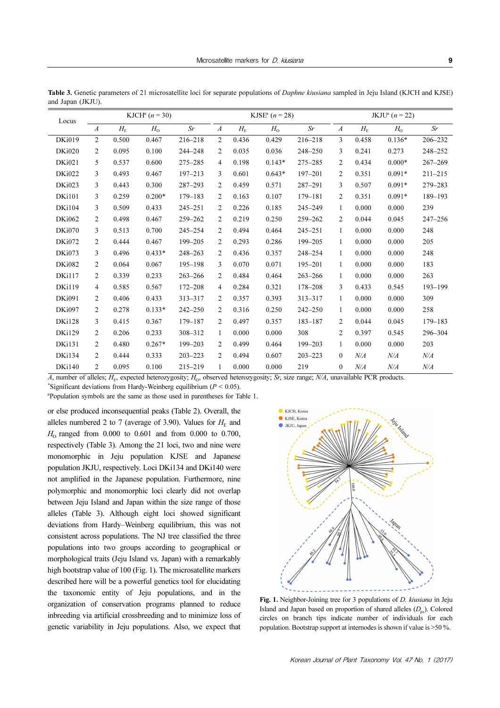| Locus         | KJCH <sup>a</sup> ( $n = 30$ ) |                               |          | KJSE <sup>a</sup> ( $n = 28$ ) |                  |                               |          | JKJU <sup>a</sup> ( $n = 22$ ) |                  |                               |          |             |
|---------------|--------------------------------|-------------------------------|----------|--------------------------------|------------------|-------------------------------|----------|--------------------------------|------------------|-------------------------------|----------|-------------|
|               | $\boldsymbol{A}$               | $H_{\scriptscriptstyle\rm E}$ | $H_0$    | Sr                             | $\boldsymbol{A}$ | $H_{\scriptscriptstyle\rm E}$ | $H_0$    | Sr                             | $\boldsymbol{A}$ | $H_{\scriptscriptstyle\rm E}$ | $H_0$    | Sr          |
| <b>DKi019</b> | $\overline{2}$                 | 0.500                         | 0.467    | 216-218                        | 2                | 0.436                         | 0.429    | $216 - 218$                    | 3                | 0.458                         | $0.136*$ | 206-232     |
| <b>DKi020</b> | 2                              | 0.095                         | 0.100    | 244-248                        | 2                | 0.035                         | 0.036    | 248-250                        | 3                | 0.241                         | 0.273    | 248-252     |
| DKi021        | 5                              | 0.537                         | 0.600    | 275-285                        | $\overline{4}$   | 0.198                         | $0.143*$ | 275-285                        | 2                | 0.434                         | $0.000*$ | $267 - 269$ |
| <b>DKi022</b> | 3                              | 0.493                         | 0.467    | $197 - 213$                    | 3                | 0.601                         | $0.643*$ | 197-201                        | $\overline{c}$   | 0.351                         | $0.091*$ | $211 - 215$ |
| DKi023        | 3                              | 0.443                         | 0.300    | $287 - 293$                    | 2                | 0.459                         | 0.571    | 287-291                        | 3                | 0.507                         | $0.091*$ | 279-283     |
| <b>DKi101</b> | 3                              | 0.259                         | $0.200*$ | 179-183                        | 2                | 0.163                         | 0.107    | 179-181                        | $\overline{2}$   | 0.351                         | $0.091*$ | 189-193     |
| <b>DKi104</b> | 3                              | 0.509                         | 0.433    | $245 - 251$                    | 2                | 0.226                         | 0.185    | $245 - 249$                    | $\mathbf{1}$     | 0.000                         | 0.000    | 239         |
| DKi062        | 2                              | 0.498                         | 0.467    | 259-262                        | 2                | 0.219                         | 0.250    | 259-262                        | $\overline{2}$   | 0.044                         | 0.045    | $247 - 256$ |
| DKi070        | 3                              | 0.513                         | 0.700    | $245 - 254$                    | 2                | 0.494                         | 0.464    | $245 - 251$                    | $\mathbf{1}$     | 0.000                         | 0.000    | 248         |
| <b>DKi072</b> | 2                              | 0.444                         | 0.467    | 199-205                        | 2                | 0.293                         | 0.286    | 199-205                        | $\mathbf{1}$     | 0.000                         | 0.000    | 205         |
| DKi073        | 3                              | 0.496                         | $0.433*$ | 248-263                        | 2                | 0.436                         | 0.357    | 248-254                        | $\mathbf{1}$     | 0.000                         | 0.000    | 248         |
| DKi082        | 2                              | 0.064                         | 0.067    | $195 - 198$                    | 3                | 0.070                         | 0.071    | 195-201                        | $\mathbf{1}$     | 0.000                         | 0.000    | 183         |
| <b>DKi117</b> | 2                              | 0.339                         | 0.233    | $263 - 266$                    | $\overline{2}$   | 0.484                         | 0.464    | $263 - 266$                    | $\mathbf{1}$     | 0.000                         | 0.000    | 263         |
| <b>DKi119</b> | 4                              | 0.585                         | 0.567    | 172-208                        | $\overline{4}$   | 0.284                         | 0.321    | 178-208                        | 3                | 0.433                         | 0.545    | $193 - 199$ |
| <b>DKi091</b> | 2                              | 0.406                         | 0.433    | 313-317                        | 2                | 0.357                         | 0.393    | 313-317                        | $\mathbf{1}$     | 0.000                         | 0.000    | 309         |
| DKi097        | 2                              | 0.278                         | $0.133*$ | $242 - 250$                    | 2                | 0.316                         | 0.250    | $242 - 250$                    | $\mathbf{1}$     | 0.000                         | 0.000    | 258         |
| <b>DKi128</b> | 3                              | 0.415                         | 0.367    | 179-187                        | 2                | 0.497                         | 0.357    | $183 - 187$                    | 2                | 0.044                         | 0.045    | $179 - 183$ |
| <b>DKi129</b> | 2                              | 0.206                         | 0.233    | 308-312                        | $\mathbf{1}$     | 0.000                         | 0.000    | 308                            | $\overline{c}$   | 0.397                         | 0.545    | 296-304     |
| <b>DKi131</b> | 2                              | 0.480                         | $0.267*$ | 199-203                        | 2                | 0.499                         | 0.464    | 199-203                        | $\mathbf{1}$     | 0.000                         | 0.000    | 203         |
| <b>DKi134</b> | 2                              | 0.444                         | 0.333    | $203 - 223$                    | 2                | 0.494                         | 0.607    | $203 - 223$                    | $\mathbf{0}$     | N/A                           | N/A      | N/A         |
| <b>DKi140</b> | $\overline{c}$                 | 0.095                         | 0.100    | 215-219                        | $\mathbf{1}$     | 0.000                         | 0.000    | 219                            | $\mathbf{0}$     | N/A                           | N/A      | N/A         |

Table 3. Genetic parameters of 21 microsatellite loci for separate populations of *Daphne kiusiana* sampled in Jeju Island (KJCH and KJSE) and Japan (JKJU).

A, number of alleles;  $H_c$ , expected heterozygosity;  $H_o$ , observed heterozygosity; Sr, size range; N/A, unavailable PCR products.

Significant deviations from Hardy-Weinberg equilibrium ( $P < 0.05$ ).

a Population symbols are the same as those used in parentheses for Table 1.

or else produced inconsequential peaks (Table 2). Overall, the alleles numbered 2 to 7 (average of 3.90). Values for  $H<sub>E</sub>$  and  $H_0$  ranged from 0.000 to 0.601 and from 0.000 to 0.700, respectively (Table 3). Among the 21 loci, two and nine were monomorphic in Jeju population KJSE and Japanese population JKJU, respectively. Loci DKi134 and DKi140 were not amplified in the Japanese population. Furthermore, nine polymorphic and monomorphic loci clearly did not overlap between Jeju Island and Japan within the size range of those alleles (Table 3). Although eight loci showed significant deviations from Hardy–Weinberg equilibrium, this was not consistent across populations. The NJ tree classified the three populations into two groups according to geographical or morphological traits (Jeju Island vs. Japan) with a remarkably high bootstrap value of 100 (Fig. 1). The microsatellite markers described here will be a powerful genetics tool for elucidating the taxonomic entity of Jeju populations, and in the organization of conservation programs planned to reduce inbreeding via artificial crossbreeding and to minimize loss of genetic variability in Jeju populations. Also, we expect that



Fig. 1. Neighbor-Joining tree for 3 populations of *D. kiusiana* in Jeju Island and Japan based on proportion of shared alleles  $(D_{n_S})$ . Colored circles on branch tips indicate number of individuals for each population. Bootstrap support at internodes is shown if value is >50 %.